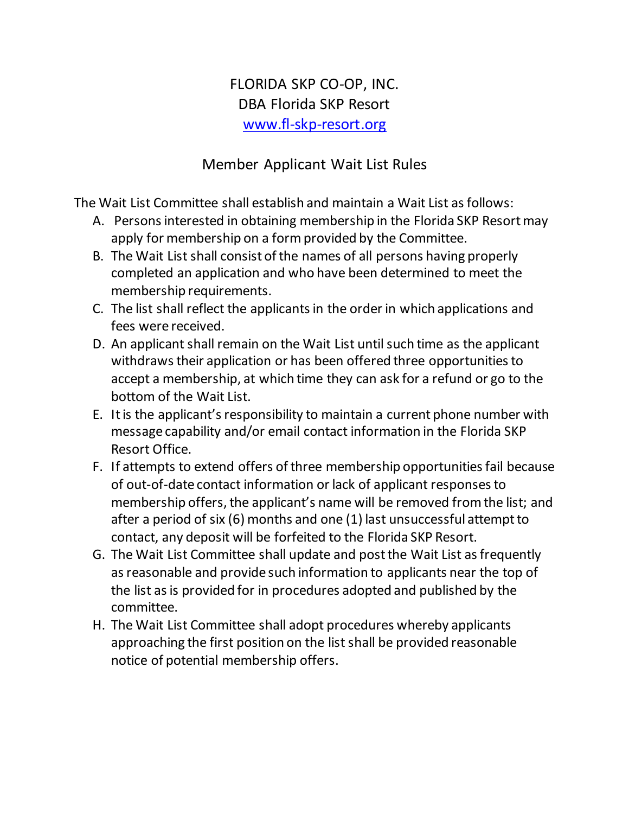## FLORIDA SKP CO-OP, INC. DBA Florida SKP Resort [www.fl-skp-resort.org](http://www.fl-skp-resort.org/)

## Member Applicant Wait List Rules

The Wait List Committee shall establish and maintain a Wait List as follows:

- A. Persons interested in obtaining membership in the Florida SKP Resort may apply for membership on a form provided by the Committee.
- B. The Wait List shall consist of the names of all persons having properly completed an application and who have been determined to meet the membership requirements.
- C. The list shall reflect the applicants in the order in which applications and fees were received.
- D. An applicant shall remain on the Wait List until such time as the applicant withdraws their application or has been offered three opportunities to accept a membership, at which time they can ask for a refund or go to the bottom of the Wait List.
- E. It is the applicant's responsibility to maintain a current phone number with message capability and/or email contact information in the Florida SKP Resort Office.
- F. If attempts to extend offers of three membership opportunities fail because of out-of-date contact information or lack of applicant responses to membership offers, the applicant's name will be removed from the list; and after a period of six (6) months and one (1) last unsuccessful attempt to contact, any deposit will be forfeited to the Florida SKP Resort.
- G. The Wait List Committee shall update and post the Wait List as frequently as reasonable and provide such information to applicants near the top of the list as is provided for in procedures adopted and published by the committee.
- H. The Wait List Committee shall adopt procedures whereby applicants approaching the first position on the list shall be provided reasonable notice of potential membership offers.